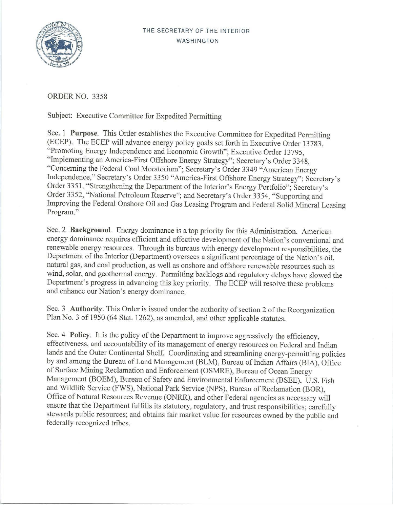

ORDER NO. 3358

Subject: Executive Committee for Expedited Permitting

Sec. I **Purpose.** This Order establishes the Executive Committee for Expedited Permitting (ECEP). The ECEP will advance energy policy goals set forth in Executive Order 13783, "Promoting Energy Independence and Economic Growth"; Executive Order 13795, "Implementing an America-First Offshore Energy Strategy"; Secretary's Order 3348, "Concerning the Federal Coal Moratorium"; Secretary's Order 3349 "American Energy Independence," Secretary's Order 3350 "America-First Offshore Energy Strategy"; Secretary's Order 3351, "Strengthening the Department of the Interior's Energy Portfolio"; Secretary's Order 3352, "National Petroleum Reserve"; and Secretary's Order 3354, "Supporting and Improving the Federal Onshore Oil and Gas Leasing Program and Federal Solid Mineral Leasing Program."

Sec. 2 **Background.** Energy dominance is a top priority for this Administration. American energy dominance requires efficient and effective development of the Nation's conventional and renewable energy resources. Through its bureaus with energy development responsibilities, the Department of the Interior (Department) oversees a significant percentage of the Nation's oil, natural gas, and coal production, as well as onshore and offshore renewable resources such as wind, solar, and geothermal energy. Permitting backlogs and regulatory delays have slowed the Department's progress in advancing this key priority. The ECEP will resolve these problems and enhance our Nation's energy dominance.

Sec. 3 **Authority.** This Order is issued under the authority of section 2 of the Reorganization Plan No. 3 of 1950 (64 Stat. 1262), as amended, and other applicable statutes.

Sec. 4 **Policy.** It is the policy of the Department to improve aggressively the efficiency, effectiveness, and accountability of its management of energy resources on Federal and Indian lands and the Outer Continental Shelf. Coordinating and streamlining energy-permitting policies by and among the Bureau of Land Management (BLM), Bureau of Indian Affairs (BIA), Office of Surface Mining Reclamation and Enforcement (OSMRE), Bureau of Ocean Energy Management (BOEM), Bureau of Safety and Environmental Enforcement (BSEE), U.S. Fish and Wildlife Service (FWS), National Park Service (NPS), Bureau of Reclamation (BOR), Office of Natural Resources Revenue (ONRR), and other Federal agencies as necessary will ensure that the Department fulfills its statutory, regulatory, and trust responsibilities; carefully stewards public resources; and obtains fair market value for resources owned by the public and federally recognized tribes.